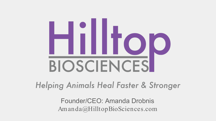# Hilltop BIOSCIENCES

Helping Animals Heal Faster & Stronger

Founder/CEO: Amanda Drobnis Am anda@HilltopBioSciences.com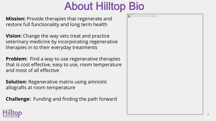## About Hilltop Bio

**Mission:** Provide therapies that regenerate and restore full functionality and long term health

**Vision:** Change the way vets treat and practice veterinary medicine by incorporating regenerative therapies in to their everyday treatments

**Problem:** Find a way to use regenerative therapies that is cost effective, easy to use, room temperature and most of all effective

**Solution:** Regenerative matrix using amniotic allografts at room temperature

**Challenge:** Funding and finding the path forward



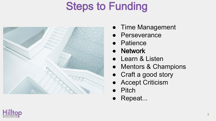## Steps to Funding



- Time Management
- Perseverance
- Patience
- Network
- Learn & Listen
- Mentors & Champions
- Craft a good story
- Accept Criticism
- Pitch
- Repeat...

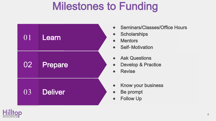### Milestones to Funding



- Seminars/Classes/Office Hours
- Scholarships
- Mentors
- Self-Motivation
- Ask Questions
- Develop & Practice
- Revise
- Know your business
- Be prompt
- Follow Up

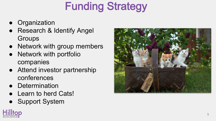# Funding Strategy

- Organization
- Research & Identify Angel **Groups**
- Network with group members
- Network with portfolio companies
- Attend investor partnership conferences
- Determination
- Learn to herd Cats!
- Support System



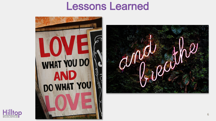#### Lessons Learned



illtop